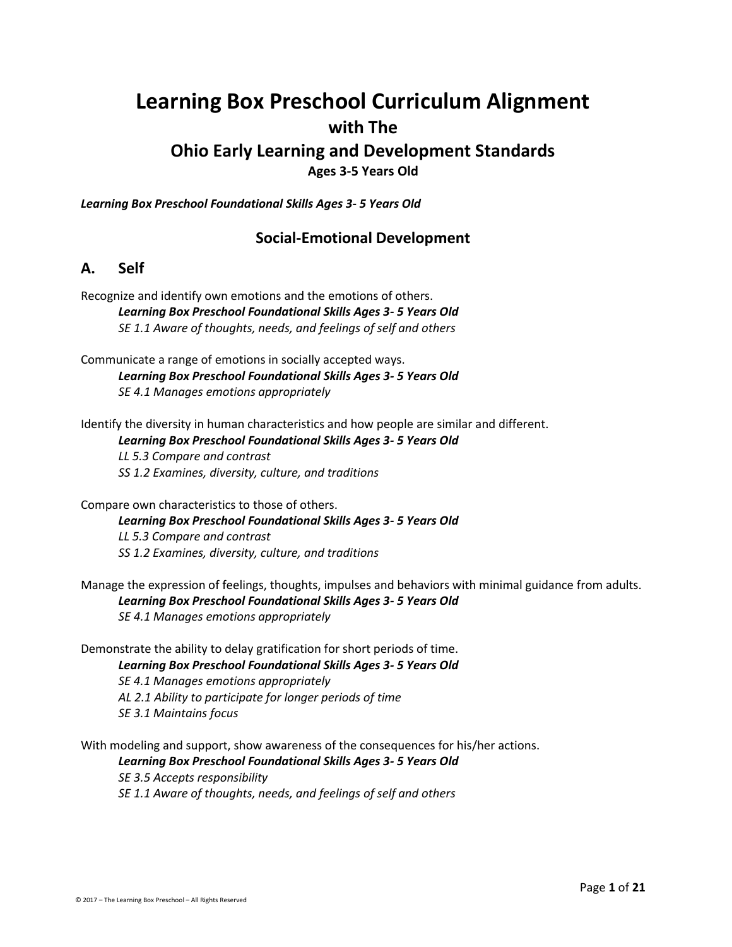# **Learning Box Preschool Curriculum Alignment with The**

# **Ohio Early Learning and Development Standards**

**Ages 3-5 Years Old**

*Learning Box Preschool Foundational Skills Ages 3- 5 Years Old*

### **Social-Emotional Development**

### **A. Self**

Recognize and identify own emotions and the emotions of others. *Learning Box Preschool Foundational Skills Ages 3- 5 Years Old SE 1.1 Aware of thoughts, needs, and feelings of self and others*

Communicate a range of emotions in socially accepted ways. *Learning Box Preschool Foundational Skills Ages 3- 5 Years Old SE 4.1 Manages emotions appropriately*

Identify the diversity in human characteristics and how people are similar and different. *Learning Box Preschool Foundational Skills Ages 3- 5 Years Old LL 5.3 Compare and contrast SS 1.2 Examines, diversity, culture, and traditions*

Compare own characteristics to those of others. *Learning Box Preschool Foundational Skills Ages 3- 5 Years Old LL 5.3 Compare and contrast SS 1.2 Examines, diversity, culture, and traditions*

Manage the expression of feelings, thoughts, impulses and behaviors with minimal guidance from adults. *Learning Box Preschool Foundational Skills Ages 3- 5 Years Old SE 4.1 Manages emotions appropriately*

Demonstrate the ability to delay gratification for short periods of time. *Learning Box Preschool Foundational Skills Ages 3- 5 Years Old SE 4.1 Manages emotions appropriately AL 2.1 Ability to participate for longer periods of time SE 3.1 Maintains focus*

With modeling and support, show awareness of the consequences for his/her actions. *Learning Box Preschool Foundational Skills Ages 3- 5 Years Old SE 3.5 Accepts responsibility SE 1.1 Aware of thoughts, needs, and feelings of self and others*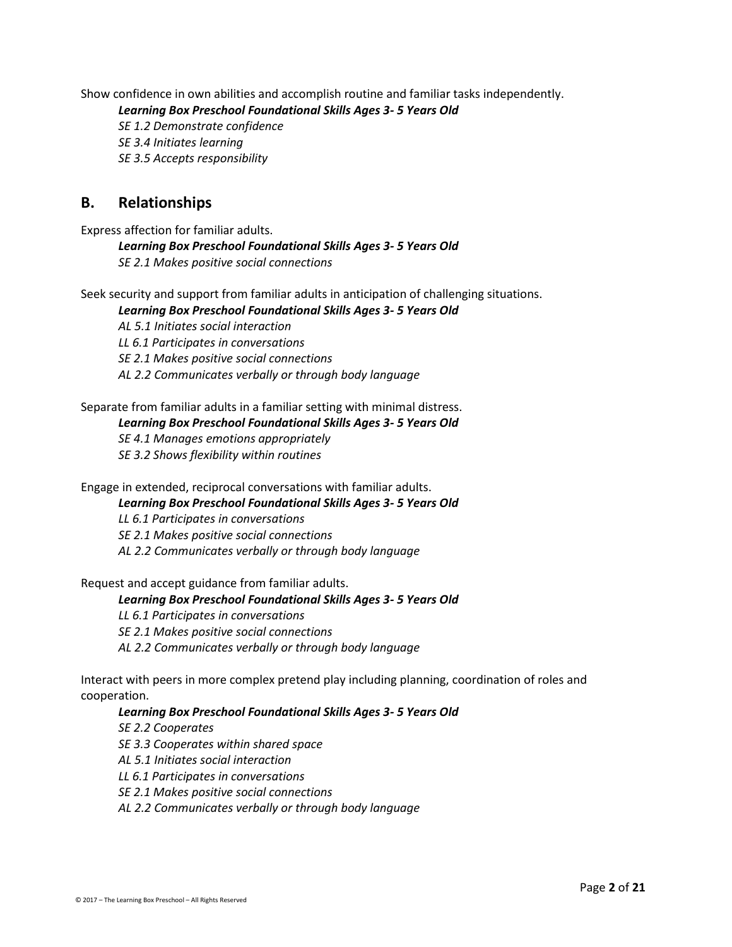Show confidence in own abilities and accomplish routine and familiar tasks independently.

*Learning Box Preschool Foundational Skills Ages 3- 5 Years Old*

*SE 1.2 Demonstrate confidence SE 3.4 Initiates learning SE 3.5 Accepts responsibility*

### **B. Relationships**

Express affection for familiar adults.

*Learning Box Preschool Foundational Skills Ages 3- 5 Years Old SE 2.1 Makes positive social connections*

Seek security and support from familiar adults in anticipation of challenging situations.

*Learning Box Preschool Foundational Skills Ages 3- 5 Years Old*

*AL 5.1 Initiates social interaction LL 6.1 Participates in conversations SE 2.1 Makes positive social connections AL 2.2 Communicates verbally or through body language*

#### Separate from familiar adults in a familiar setting with minimal distress.

*Learning Box Preschool Foundational Skills Ages 3- 5 Years Old*

*SE 4.1 Manages emotions appropriately*

*SE 3.2 Shows flexibility within routines*

Engage in extended, reciprocal conversations with familiar adults.

*Learning Box Preschool Foundational Skills Ages 3- 5 Years Old*

*LL 6.1 Participates in conversations*

*SE 2.1 Makes positive social connections*

*AL 2.2 Communicates verbally or through body language*

Request and accept guidance from familiar adults.

#### *Learning Box Preschool Foundational Skills Ages 3- 5 Years Old*

*LL 6.1 Participates in conversations*

*SE 2.1 Makes positive social connections*

*AL 2.2 Communicates verbally or through body language*

Interact with peers in more complex pretend play including planning, coordination of roles and cooperation.

#### *Learning Box Preschool Foundational Skills Ages 3- 5 Years Old*

*SE 2.2 Cooperates*

*SE 3.3 Cooperates within shared space*

*AL 5.1 Initiates social interaction*

*LL 6.1 Participates in conversations*

*SE 2.1 Makes positive social connections*

*AL 2.2 Communicates verbally or through body language*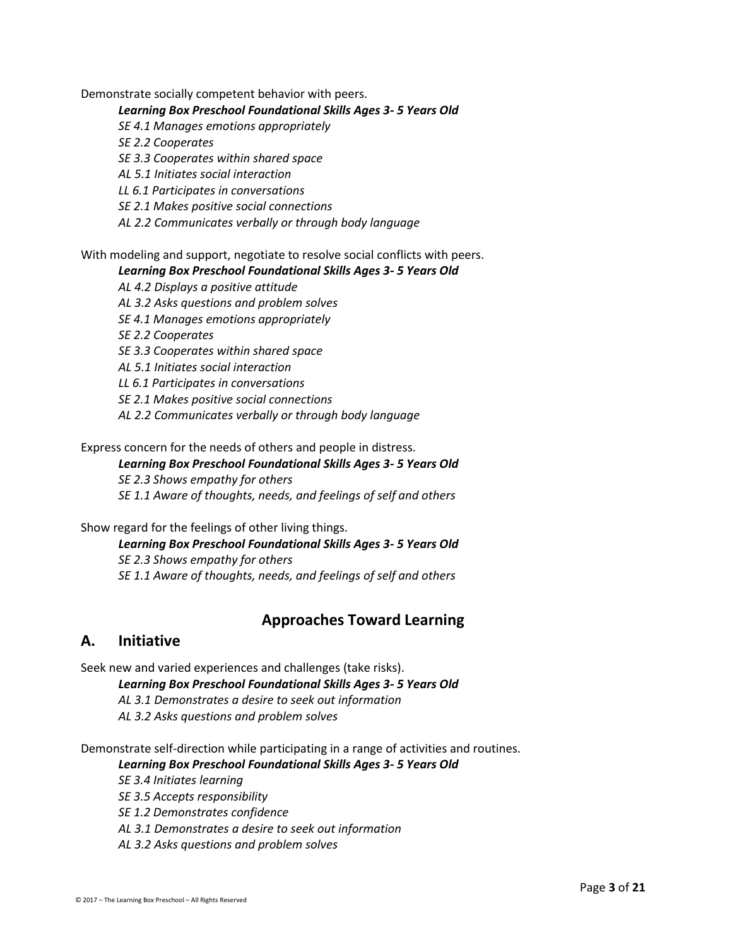Demonstrate socially competent behavior with peers.

#### *Learning Box Preschool Foundational Skills Ages 3- 5 Years Old*

*SE 4.1 Manages emotions appropriately*

*SE 2.2 Cooperates*

*SE 3.3 Cooperates within shared space*

*AL 5.1 Initiates social interaction*

*LL 6.1 Participates in conversations*

*SE 2.1 Makes positive social connections*

*AL 2.2 Communicates verbally or through body language*

#### With modeling and support, negotiate to resolve social conflicts with peers.

#### *Learning Box Preschool Foundational Skills Ages 3- 5 Years Old*

*AL 4.2 Displays a positive attitude*

*AL 3.2 Asks questions and problem solves*

*SE 4.1 Manages emotions appropriately*

*SE 2.2 Cooperates*

*SE 3.3 Cooperates within shared space*

*AL 5.1 Initiates social interaction*

*LL 6.1 Participates in conversations*

*SE 2.1 Makes positive social connections*

*AL 2.2 Communicates verbally or through body language*

Express concern for the needs of others and people in distress.

#### *Learning Box Preschool Foundational Skills Ages 3- 5 Years Old*

*SE 2.3 Shows empathy for others*

*SE 1.1 Aware of thoughts, needs, and feelings of self and others*

Show regard for the feelings of other living things.

*Learning Box Preschool Foundational Skills Ages 3- 5 Years Old SE 2.3 Shows empathy for others SE 1.1 Aware of thoughts, needs, and feelings of self and others*

### **Approaches Toward Learning**

### **A. Initiative**

Seek new and varied experiences and challenges (take risks).

*Learning Box Preschool Foundational Skills Ages 3- 5 Years Old*

*AL 3.1 Demonstrates a desire to seek out information*

*AL 3.2 Asks questions and problem solves*

Demonstrate self-direction while participating in a range of activities and routines.

#### *Learning Box Preschool Foundational Skills Ages 3- 5 Years Old*

*SE 3.4 Initiates learning*

*SE 3.5 Accepts responsibility*

*SE 1.2 Demonstrates confidence*

*AL 3.1 Demonstrates a desire to seek out information*

*AL 3.2 Asks questions and problem solves*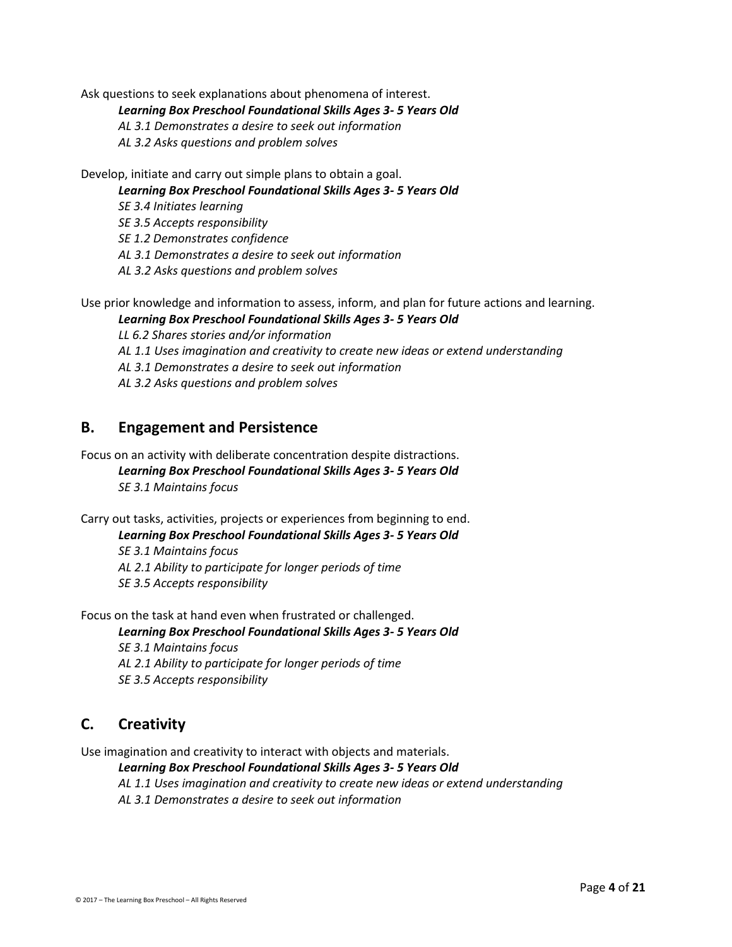Ask questions to seek explanations about phenomena of interest.

*Learning Box Preschool Foundational Skills Ages 3- 5 Years Old*

*AL 3.1 Demonstrates a desire to seek out information*

*AL 3.2 Asks questions and problem solves*

Develop, initiate and carry out simple plans to obtain a goal.

*Learning Box Preschool Foundational Skills Ages 3- 5 Years Old*

*SE 3.4 Initiates learning*

*SE 3.5 Accepts responsibility*

*SE 1.2 Demonstrates confidence*

*AL 3.1 Demonstrates a desire to seek out information*

*AL 3.2 Asks questions and problem solves*

Use prior knowledge and information to assess, inform, and plan for future actions and learning. *Learning Box Preschool Foundational Skills Ages 3- 5 Years Old*

*LL 6.2 Shares stories and/or information*

*AL 1.1 Uses imagination and creativity to create new ideas or extend understanding*

*AL 3.1 Demonstrates a desire to seek out information*

*AL 3.2 Asks questions and problem solves*

### **B. Engagement and Persistence**

Focus on an activity with deliberate concentration despite distractions. *Learning Box Preschool Foundational Skills Ages 3- 5 Years Old SE 3.1 Maintains focus*

Carry out tasks, activities, projects or experiences from beginning to end. *Learning Box Preschool Foundational Skills Ages 3- 5 Years Old SE 3.1 Maintains focus*

*AL 2.1 Ability to participate for longer periods of time SE 3.5 Accepts responsibility*

Focus on the task at hand even when frustrated or challenged.

*Learning Box Preschool Foundational Skills Ages 3- 5 Years Old*

*SE 3.1 Maintains focus AL 2.1 Ability to participate for longer periods of time SE 3.5 Accepts responsibility*

### **C. Creativity**

Use imagination and creativity to interact with objects and materials.

*Learning Box Preschool Foundational Skills Ages 3- 5 Years Old AL 1.1 Uses imagination and creativity to create new ideas or extend understanding AL 3.1 Demonstrates a desire to seek out information*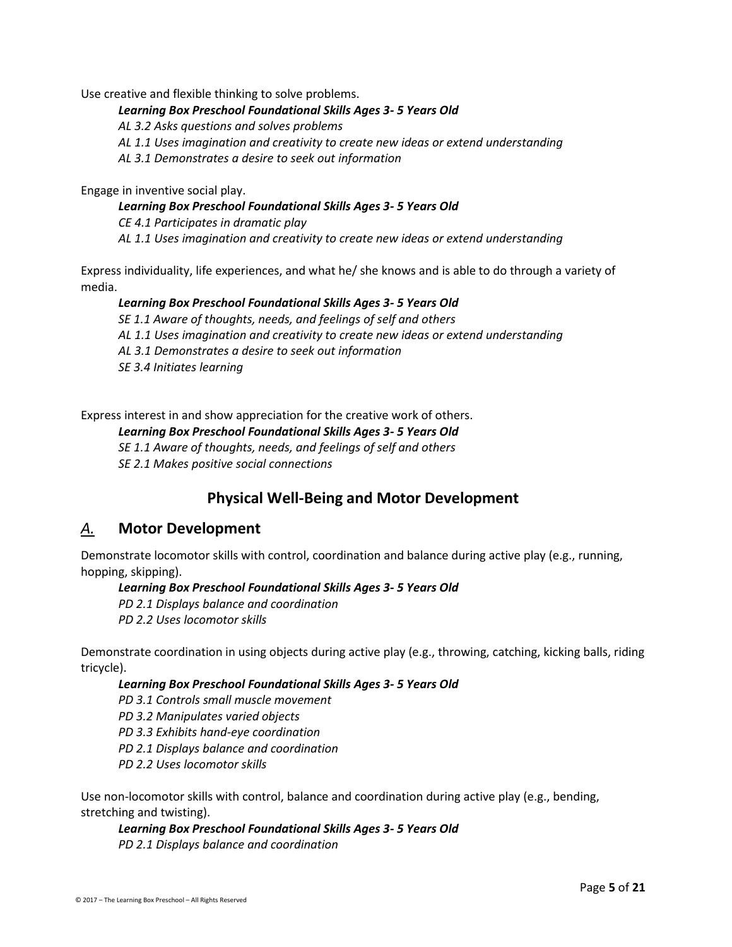Use creative and flexible thinking to solve problems.

#### *Learning Box Preschool Foundational Skills Ages 3- 5 Years Old*

*AL 3.2 Asks questions and solves problems*

*AL 1.1 Uses imagination and creativity to create new ideas or extend understanding*

*AL 3.1 Demonstrates a desire to seek out information*

Engage in inventive social play.

#### *Learning Box Preschool Foundational Skills Ages 3- 5 Years Old*

*CE 4.1 Participates in dramatic play AL 1.1 Uses imagination and creativity to create new ideas or extend understanding*

Express individuality, life experiences, and what he/ she knows and is able to do through a variety of media.

#### *Learning Box Preschool Foundational Skills Ages 3- 5 Years Old*

*SE 1.1 Aware of thoughts, needs, and feelings of self and others AL 1.1 Uses imagination and creativity to create new ideas or extend understanding AL 3.1 Demonstrates a desire to seek out information SE 3.4 Initiates learning*

Express interest in and show appreciation for the creative work of others.

#### *Learning Box Preschool Foundational Skills Ages 3- 5 Years Old*

*SE 1.1 Aware of thoughts, needs, and feelings of self and others SE 2.1 Makes positive social connections*

### **Physical Well-Being and Motor Development**

### *A.* **Motor Development**

Demonstrate locomotor skills with control, coordination and balance during active play (e.g., running, hopping, skipping).

#### *Learning Box Preschool Foundational Skills Ages 3- 5 Years Old*

*PD 2.1 Displays balance and coordination PD 2.2 Uses locomotor skills*

Demonstrate coordination in using objects during active play (e.g., throwing, catching, kicking balls, riding tricycle).

#### *Learning Box Preschool Foundational Skills Ages 3- 5 Years Old*

*PD 3.1 Controls small muscle movement*

*PD 3.2 Manipulates varied objects*

*PD 3.3 Exhibits hand-eye coordination*

*PD 2.1 Displays balance and coordination*

*PD 2.2 Uses locomotor skills*

Use non-locomotor skills with control, balance and coordination during active play (e.g., bending, stretching and twisting).

### *Learning Box Preschool Foundational Skills Ages 3- 5 Years Old*

*PD 2.1 Displays balance and coordination*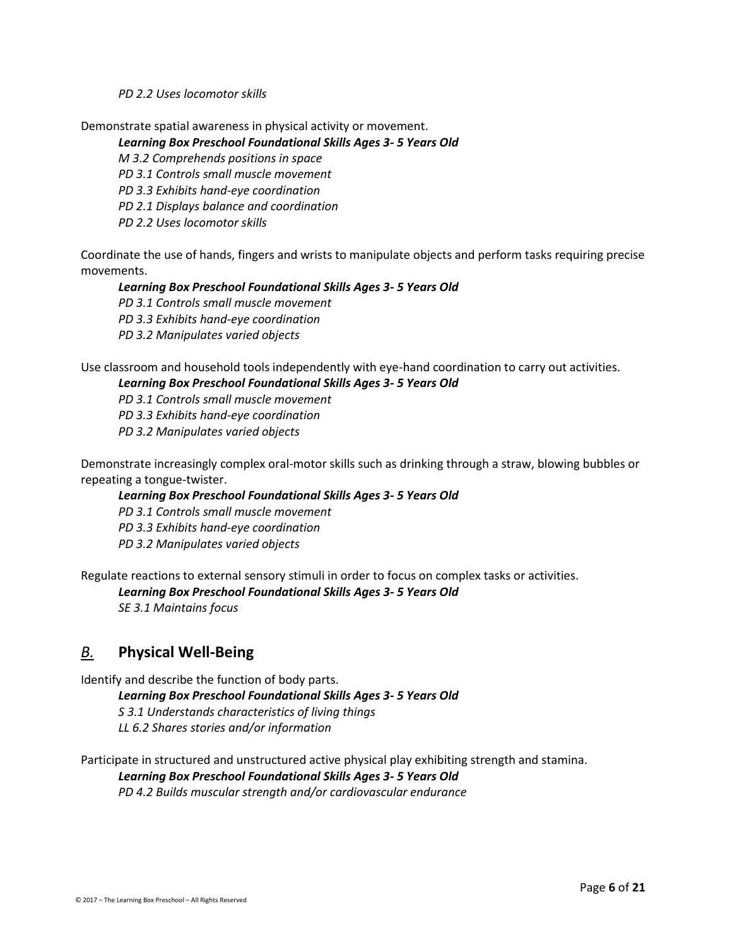*PD 2.2 Uses locomotor skills*

Demonstrate spatial awareness in physical activity or movement.

#### *Learning Box Preschool Foundational Skills Ages 3- 5 Years Old*

*M 3.2 Comprehends positions in space*

*PD 3.1 Controls small muscle movement*

*PD 3.3 Exhibits hand-eye coordination*

*PD 2.1 Displays balance and coordination*

*PD 2.2 Uses locomotor skills*

Coordinate the use of hands, fingers and wrists to manipulate objects and perform tasks requiring precise movements.

#### *Learning Box Preschool Foundational Skills Ages 3- 5 Years Old*

*PD 3.1 Controls small muscle movement PD 3.3 Exhibits hand-eye coordination*

*PD 3.2 Manipulates varied objects*

Use classroom and household tools independently with eye-hand coordination to carry out activities.

#### *Learning Box Preschool Foundational Skills Ages 3- 5 Years Old*

*PD 3.1 Controls small muscle movement*

*PD 3.3 Exhibits hand-eye coordination*

*PD 3.2 Manipulates varied objects*

Demonstrate increasingly complex oral-motor skills such as drinking through a straw, blowing bubbles or repeating a tongue-twister.

#### *Learning Box Preschool Foundational Skills Ages 3- 5 Years Old*

*PD 3.1 Controls small muscle movement*

*PD 3.3 Exhibits hand-eye coordination PD 3.2 Manipulates varied objects*

Regulate reactions to external sensory stimuli in order to focus on complex tasks or activities.

*Learning Box Preschool Foundational Skills Ages 3- 5 Years Old*

*SE 3.1 Maintains focus*

### *B.* **Physical Well-Being**

Identify and describe the function of body parts.

*Learning Box Preschool Foundational Skills Ages 3- 5 Years Old S 3.1 Understands characteristics of living things LL 6.2 Shares stories and/or information*

Participate in structured and unstructured active physical play exhibiting strength and stamina. *Learning Box Preschool Foundational Skills Ages 3- 5 Years Old PD 4.2 Builds muscular strength and/or cardiovascular endurance*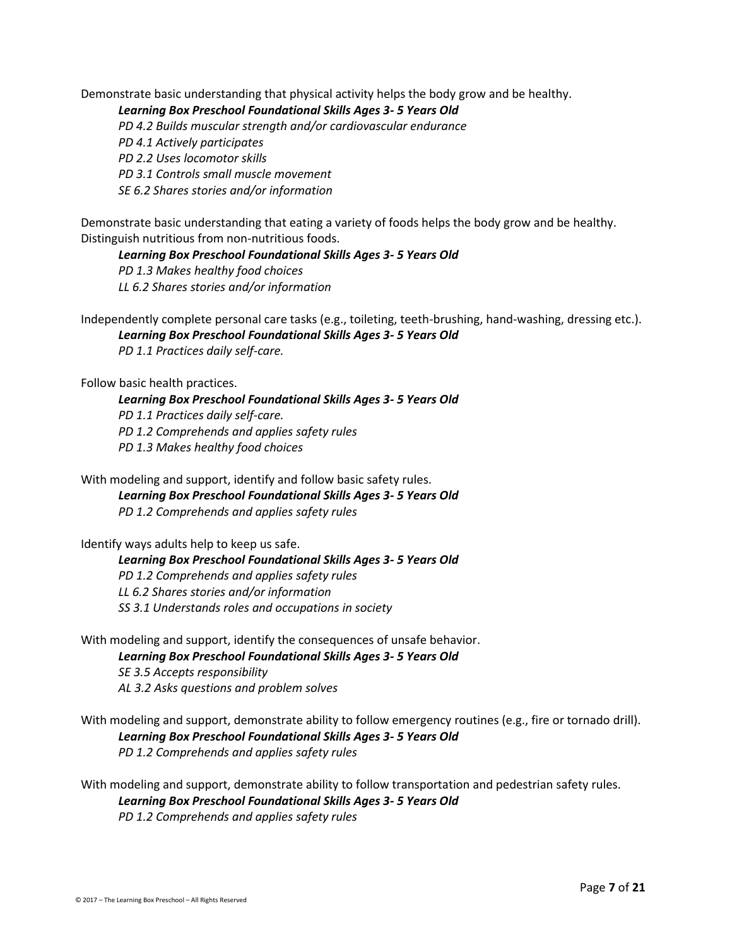Demonstrate basic understanding that physical activity helps the body grow and be healthy.

*Learning Box Preschool Foundational Skills Ages 3- 5 Years Old*

*PD 4.2 Builds muscular strength and/or cardiovascular endurance*

*PD 4.1 Actively participates*

*PD 2.2 Uses locomotor skills*

*PD 3.1 Controls small muscle movement*

*SE 6.2 Shares stories and/or information*

Demonstrate basic understanding that eating a variety of foods helps the body grow and be healthy. Distinguish nutritious from non-nutritious foods.

*Learning Box Preschool Foundational Skills Ages 3- 5 Years Old*

*PD 1.3 Makes healthy food choices LL 6.2 Shares stories and/or information*

Independently complete personal care tasks (e.g., toileting, teeth-brushing, hand-washing, dressing etc.). *Learning Box Preschool Foundational Skills Ages 3- 5 Years Old PD 1.1 Practices daily self-care.*

Follow basic health practices.

*Learning Box Preschool Foundational Skills Ages 3- 5 Years Old PD 1.1 Practices daily self-care. PD 1.2 Comprehends and applies safety rules PD 1.3 Makes healthy food choices*

With modeling and support, identify and follow basic safety rules. *Learning Box Preschool Foundational Skills Ages 3- 5 Years Old PD 1.2 Comprehends and applies safety rules*

Identify ways adults help to keep us safe.

*Learning Box Preschool Foundational Skills Ages 3- 5 Years Old PD 1.2 Comprehends and applies safety rules LL 6.2 Shares stories and/or information SS 3.1 Understands roles and occupations in society*

With modeling and support, identify the consequences of unsafe behavior. *Learning Box Preschool Foundational Skills Ages 3- 5 Years Old SE 3.5 Accepts responsibility AL 3.2 Asks questions and problem solves*

With modeling and support, demonstrate ability to follow emergency routines (e.g., fire or tornado drill). *Learning Box Preschool Foundational Skills Ages 3- 5 Years Old PD 1.2 Comprehends and applies safety rules*

With modeling and support, demonstrate ability to follow transportation and pedestrian safety rules. *Learning Box Preschool Foundational Skills Ages 3- 5 Years Old PD 1.2 Comprehends and applies safety rules*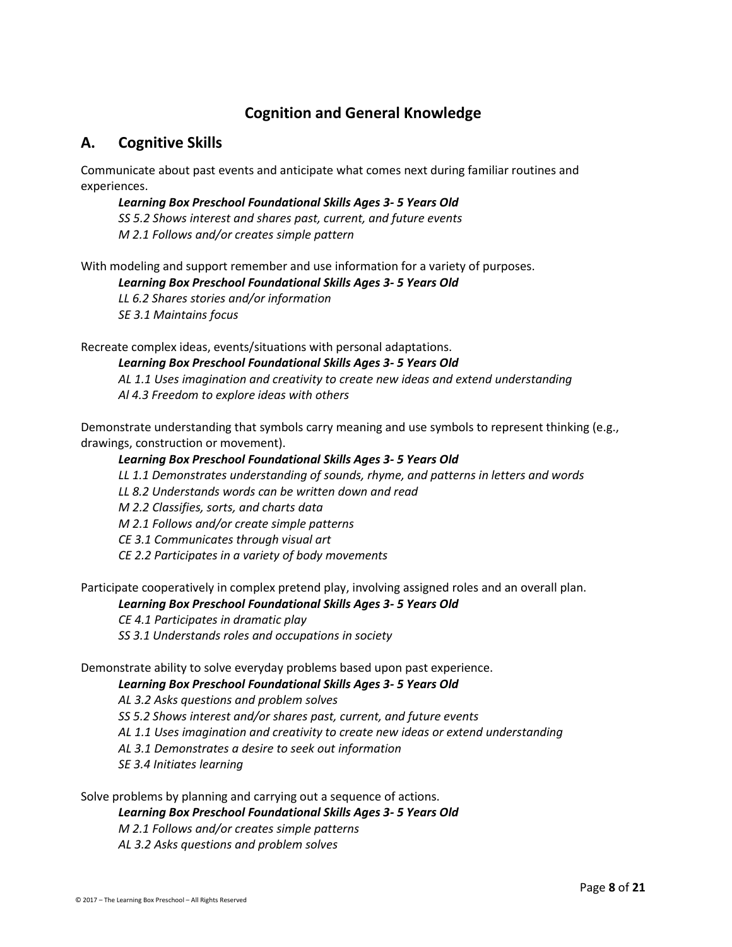## **Cognition and General Knowledge**

### **A. Cognitive Skills**

Communicate about past events and anticipate what comes next during familiar routines and experiences.

*Learning Box Preschool Foundational Skills Ages 3- 5 Years Old SS 5.2 Shows interest and shares past, current, and future events M 2.1 Follows and/or creates simple pattern*

With modeling and support remember and use information for a variety of purposes. *Learning Box Preschool Foundational Skills Ages 3- 5 Years Old LL 6.2 Shares stories and/or information SE 3.1 Maintains focus*

Recreate complex ideas, events/situations with personal adaptations.

*Learning Box Preschool Foundational Skills Ages 3- 5 Years Old AL 1.1 Uses imagination and creativity to create new ideas and extend understanding Al 4.3 Freedom to explore ideas with others*

Demonstrate understanding that symbols carry meaning and use symbols to represent thinking (e.g., drawings, construction or movement).

#### *Learning Box Preschool Foundational Skills Ages 3- 5 Years Old*

*LL 1.1 Demonstrates understanding of sounds, rhyme, and patterns in letters and words*

*LL 8.2 Understands words can be written down and read*

*M 2.2 Classifies, sorts, and charts data*

*M 2.1 Follows and/or create simple patterns*

*CE 3.1 Communicates through visual art*

*CE 2.2 Participates in a variety of body movements*

Participate cooperatively in complex pretend play, involving assigned roles and an overall plan.

#### *Learning Box Preschool Foundational Skills Ages 3- 5 Years Old*

*CE 4.1 Participates in dramatic play*

*SS 3.1 Understands roles and occupations in society*

Demonstrate ability to solve everyday problems based upon past experience.

#### *Learning Box Preschool Foundational Skills Ages 3- 5 Years Old*

*AL 3.2 Asks questions and problem solves*

*SS 5.2 Shows interest and/or shares past, current, and future events*

*AL 1.1 Uses imagination and creativity to create new ideas or extend understanding*

*AL 3.1 Demonstrates a desire to seek out information*

*SE 3.4 Initiates learning*

Solve problems by planning and carrying out a sequence of actions.

#### *Learning Box Preschool Foundational Skills Ages 3- 5 Years Old*

*M 2.1 Follows and/or creates simple patterns*

*AL 3.2 Asks questions and problem solves*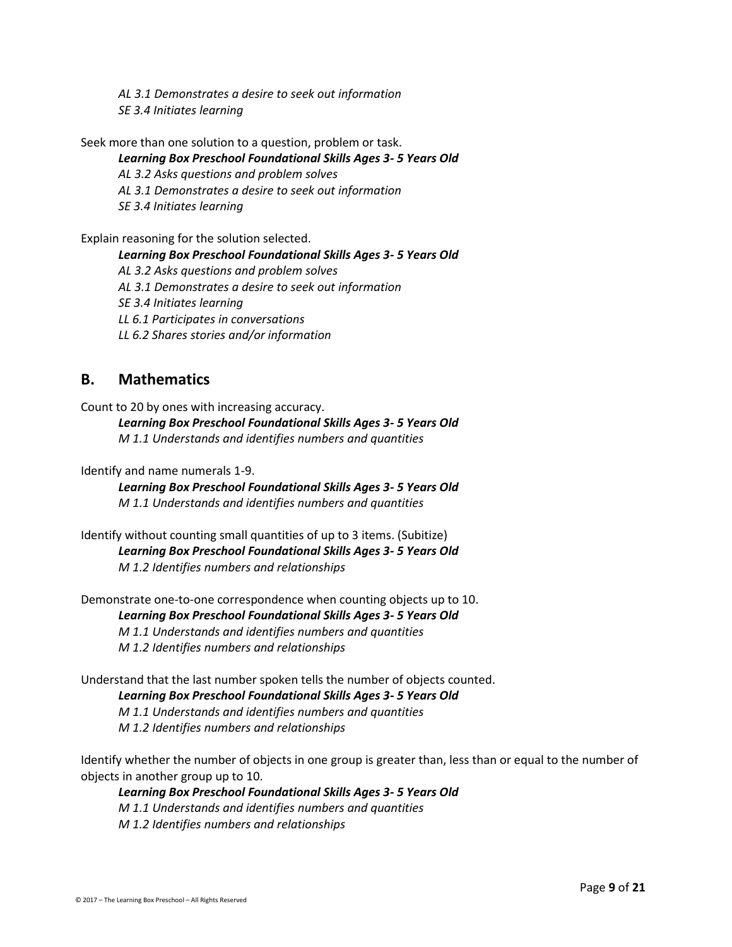*AL 3.1 Demonstrates a desire to seek out information SE 3.4 Initiates learning*

Seek more than one solution to a question, problem or task.

#### *Learning Box Preschool Foundational Skills Ages 3- 5 Years Old*

*AL 3.2 Asks questions and problem solves*

*AL 3.1 Demonstrates a desire to seek out information*

*SE 3.4 Initiates learning*

Explain reasoning for the solution selected.

*Learning Box Preschool Foundational Skills Ages 3- 5 Years Old*

*AL 3.2 Asks questions and problem solves*

*AL 3.1 Demonstrates a desire to seek out information*

*SE 3.4 Initiates learning*

*LL 6.1 Participates in conversations*

*LL 6.2 Shares stories and/or information*

### **B. Mathematics**

Count to 20 by ones with increasing accuracy. *Learning Box Preschool Foundational Skills Ages 3- 5 Years Old M 1.1 Understands and identifies numbers and quantities*

Identify and name numerals 1-9.

*Learning Box Preschool Foundational Skills Ages 3- 5 Years Old M 1.1 Understands and identifies numbers and quantities*

Identify without counting small quantities of up to 3 items. (Subitize) *Learning Box Preschool Foundational Skills Ages 3- 5 Years Old M 1.2 Identifies numbers and relationships*

Demonstrate one-to-one correspondence when counting objects up to 10. *Learning Box Preschool Foundational Skills Ages 3- 5 Years Old M 1.1 Understands and identifies numbers and quantities M 1.2 Identifies numbers and relationships*

Understand that the last number spoken tells the number of objects counted. *Learning Box Preschool Foundational Skills Ages 3- 5 Years Old M 1.1 Understands and identifies numbers and quantities M 1.2 Identifies numbers and relationships*

Identify whether the number of objects in one group is greater than, less than or equal to the number of objects in another group up to 10.

*Learning Box Preschool Foundational Skills Ages 3- 5 Years Old M 1.1 Understands and identifies numbers and quantities M 1.2 Identifies numbers and relationships*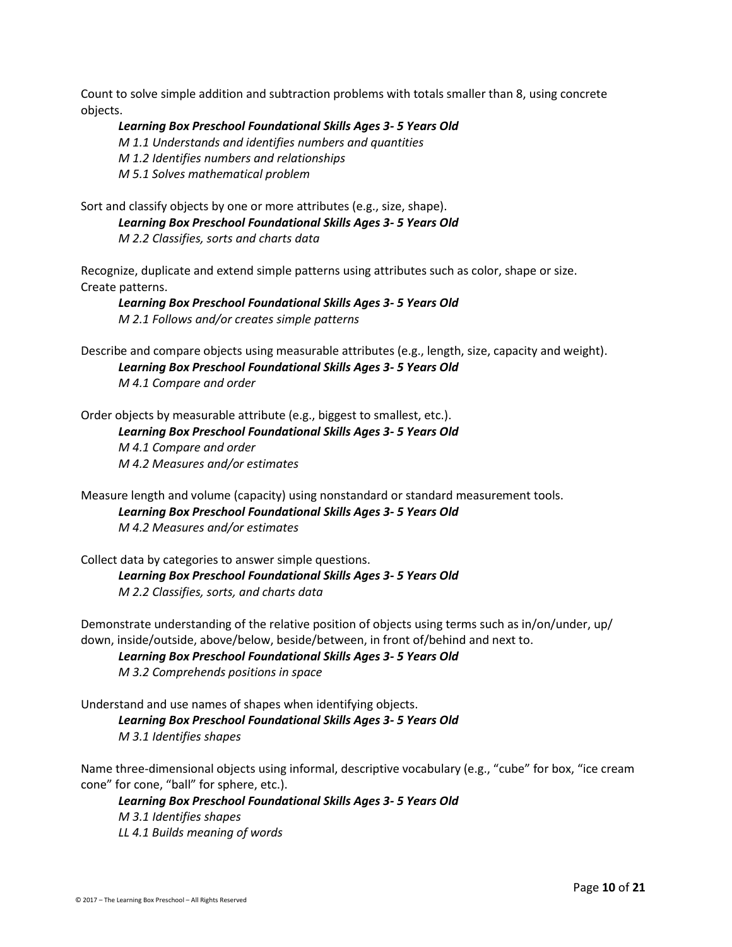Count to solve simple addition and subtraction problems with totals smaller than 8, using concrete objects.

*Learning Box Preschool Foundational Skills Ages 3- 5 Years Old M 1.1 Understands and identifies numbers and quantities M 1.2 Identifies numbers and relationships M 5.1 Solves mathematical problem*

Sort and classify objects by one or more attributes (e.g., size, shape). *Learning Box Preschool Foundational Skills Ages 3- 5 Years Old M 2.2 Classifies, sorts and charts data*

Recognize, duplicate and extend simple patterns using attributes such as color, shape or size. Create patterns.

*Learning Box Preschool Foundational Skills Ages 3- 5 Years Old M 2.1 Follows and/or creates simple patterns*

Describe and compare objects using measurable attributes (e.g., length, size, capacity and weight). *Learning Box Preschool Foundational Skills Ages 3- 5 Years Old M 4.1 Compare and order*

Order objects by measurable attribute (e.g., biggest to smallest, etc.). *Learning Box Preschool Foundational Skills Ages 3- 5 Years Old M 4.1 Compare and order M 4.2 Measures and/or estimates*

Measure length and volume (capacity) using nonstandard or standard measurement tools. *Learning Box Preschool Foundational Skills Ages 3- 5 Years Old M 4.2 Measures and/or estimates*

Collect data by categories to answer simple questions. *Learning Box Preschool Foundational Skills Ages 3- 5 Years Old M 2.2 Classifies, sorts, and charts data*

Demonstrate understanding of the relative position of objects using terms such as in/on/under, up/ down, inside/outside, above/below, beside/between, in front of/behind and next to.

*Learning Box Preschool Foundational Skills Ages 3- 5 Years Old M 3.2 Comprehends positions in space*

Understand and use names of shapes when identifying objects. *Learning Box Preschool Foundational Skills Ages 3- 5 Years Old M 3.1 Identifies shapes*

Name three-dimensional objects using informal, descriptive vocabulary (e.g., "cube" for box, "ice cream cone" for cone, "ball" for sphere, etc.).

*Learning Box Preschool Foundational Skills Ages 3- 5 Years Old M 3.1 Identifies shapes LL 4.1 Builds meaning of words*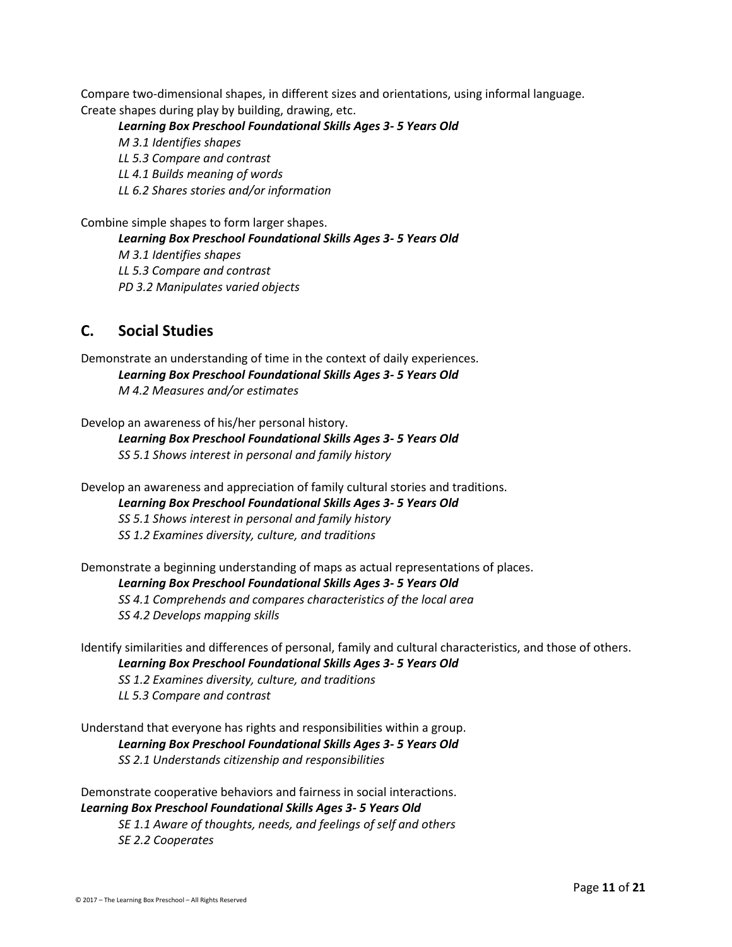Compare two-dimensional shapes, in different sizes and orientations, using informal language. Create shapes during play by building, drawing, etc.

*Learning Box Preschool Foundational Skills Ages 3- 5 Years Old M 3.1 Identifies shapes LL 5.3 Compare and contrast LL 4.1 Builds meaning of words LL 6.2 Shares stories and/or information*

Combine simple shapes to form larger shapes.

*Learning Box Preschool Foundational Skills Ages 3- 5 Years Old M 3.1 Identifies shapes LL 5.3 Compare and contrast PD 3.2 Manipulates varied objects*

### **C. Social Studies**

Demonstrate an understanding of time in the context of daily experiences. *Learning Box Preschool Foundational Skills Ages 3- 5 Years Old M 4.2 Measures and/or estimates*

#### Develop an awareness of his/her personal history.

*Learning Box Preschool Foundational Skills Ages 3- 5 Years Old SS 5.1 Shows interest in personal and family history*

Develop an awareness and appreciation of family cultural stories and traditions.

*Learning Box Preschool Foundational Skills Ages 3- 5 Years Old*

*SS 5.1 Shows interest in personal and family history*

*SS 1.2 Examines diversity, culture, and traditions*

Demonstrate a beginning understanding of maps as actual representations of places.

*Learning Box Preschool Foundational Skills Ages 3- 5 Years Old*

*SS 4.1 Comprehends and compares characteristics of the local area SS 4.2 Develops mapping skills*

Identify similarities and differences of personal, family and cultural characteristics, and those of others. *Learning Box Preschool Foundational Skills Ages 3- 5 Years Old*

*SS 1.2 Examines diversity, culture, and traditions*

*LL 5.3 Compare and contrast*

Understand that everyone has rights and responsibilities within a group. *Learning Box Preschool Foundational Skills Ages 3- 5 Years Old SS 2.1 Understands citizenship and responsibilities*

Demonstrate cooperative behaviors and fairness in social interactions. *Learning Box Preschool Foundational Skills Ages 3- 5 Years Old SE 1.1 Aware of thoughts, needs, and feelings of self and others*

*SE 2.2 Cooperates*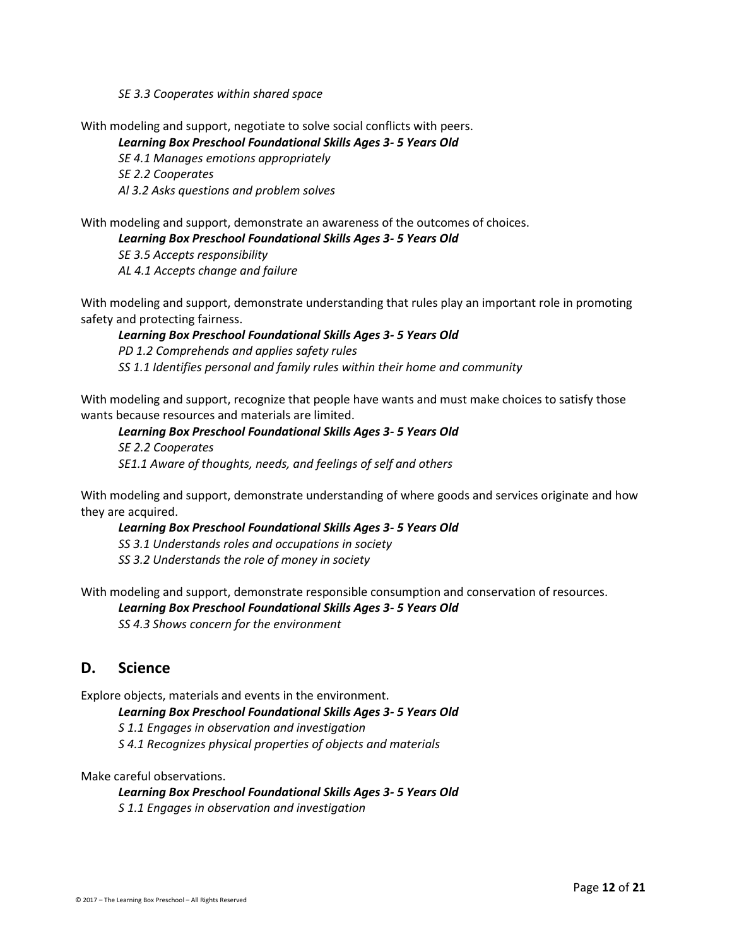*SE 3.3 Cooperates within shared space*

With modeling and support, negotiate to solve social conflicts with peers.

*Learning Box Preschool Foundational Skills Ages 3- 5 Years Old*

*SE 4.1 Manages emotions appropriately SE 2.2 Cooperates*

*Al 3.2 Asks questions and problem solves*

With modeling and support, demonstrate an awareness of the outcomes of choices.

*Learning Box Preschool Foundational Skills Ages 3- 5 Years Old*

*SE 3.5 Accepts responsibility AL 4.1 Accepts change and failure*

With modeling and support, demonstrate understanding that rules play an important role in promoting safety and protecting fairness.

*Learning Box Preschool Foundational Skills Ages 3- 5 Years Old PD 1.2 Comprehends and applies safety rules SS 1.1 Identifies personal and family rules within their home and community*

With modeling and support, recognize that people have wants and must make choices to satisfy those wants because resources and materials are limited.

*Learning Box Preschool Foundational Skills Ages 3- 5 Years Old SE 2.2 Cooperates SE1.1 Aware of thoughts, needs, and feelings of self and others*

With modeling and support, demonstrate understanding of where goods and services originate and how they are acquired.

*Learning Box Preschool Foundational Skills Ages 3- 5 Years Old SS 3.1 Understands roles and occupations in society SS 3.2 Understands the role of money in society*

With modeling and support, demonstrate responsible consumption and conservation of resources.

*Learning Box Preschool Foundational Skills Ages 3- 5 Years Old*

*SS 4.3 Shows concern for the environment*

### **D. Science**

Explore objects, materials and events in the environment.

*Learning Box Preschool Foundational Skills Ages 3- 5 Years Old*

*S 1.1 Engages in observation and investigation*

*S 4.1 Recognizes physical properties of objects and materials*

Make careful observations.

*Learning Box Preschool Foundational Skills Ages 3- 5 Years Old*

*S 1.1 Engages in observation and investigation*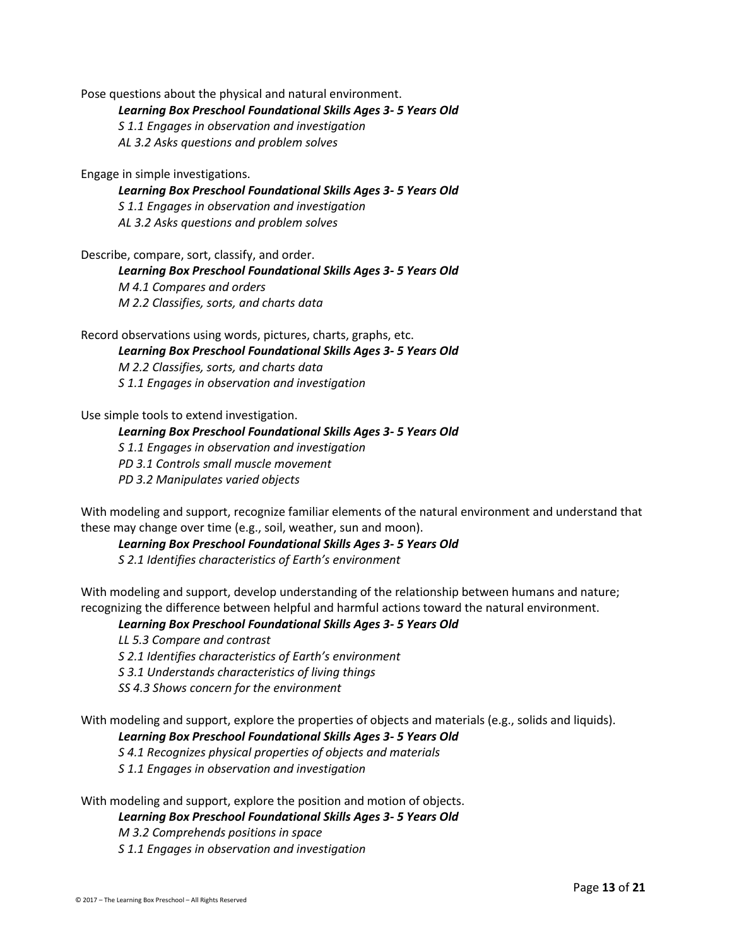Pose questions about the physical and natural environment.

*Learning Box Preschool Foundational Skills Ages 3- 5 Years Old*

*S 1.1 Engages in observation and investigation*

*AL 3.2 Asks questions and problem solves*

Engage in simple investigations.

*Learning Box Preschool Foundational Skills Ages 3- 5 Years Old S 1.1 Engages in observation and investigation AL 3.2 Asks questions and problem solves*

Describe, compare, sort, classify, and order.

*Learning Box Preschool Foundational Skills Ages 3- 5 Years Old M 4.1 Compares and orders M 2.2 Classifies, sorts, and charts data*

Record observations using words, pictures, charts, graphs, etc.

*Learning Box Preschool Foundational Skills Ages 3- 5 Years Old M 2.2 Classifies, sorts, and charts data S 1.1 Engages in observation and investigation*

Use simple tools to extend investigation.

*Learning Box Preschool Foundational Skills Ages 3- 5 Years Old S 1.1 Engages in observation and investigation PD 3.1 Controls small muscle movement PD 3.2 Manipulates varied objects*

With modeling and support, recognize familiar elements of the natural environment and understand that these may change over time (e.g., soil, weather, sun and moon).

*Learning Box Preschool Foundational Skills Ages 3- 5 Years Old*

*S 2.1 Identifies characteristics of Earth's environment*

With modeling and support, develop understanding of the relationship between humans and nature; recognizing the difference between helpful and harmful actions toward the natural environment.

*Learning Box Preschool Foundational Skills Ages 3- 5 Years Old*

*LL 5.3 Compare and contrast*

*S 2.1 Identifies characteristics of Earth's environment*

*S 3.1 Understands characteristics of living things*

*SS 4.3 Shows concern for the environment*

With modeling and support, explore the properties of objects and materials (e.g., solids and liquids).

*Learning Box Preschool Foundational Skills Ages 3- 5 Years Old*

*S 4.1 Recognizes physical properties of objects and materials*

*S 1.1 Engages in observation and investigation*

With modeling and support, explore the position and motion of objects.

### *Learning Box Preschool Foundational Skills Ages 3- 5 Years Old*

*M 3.2 Comprehends positions in space S 1.1 Engages in observation and investigation*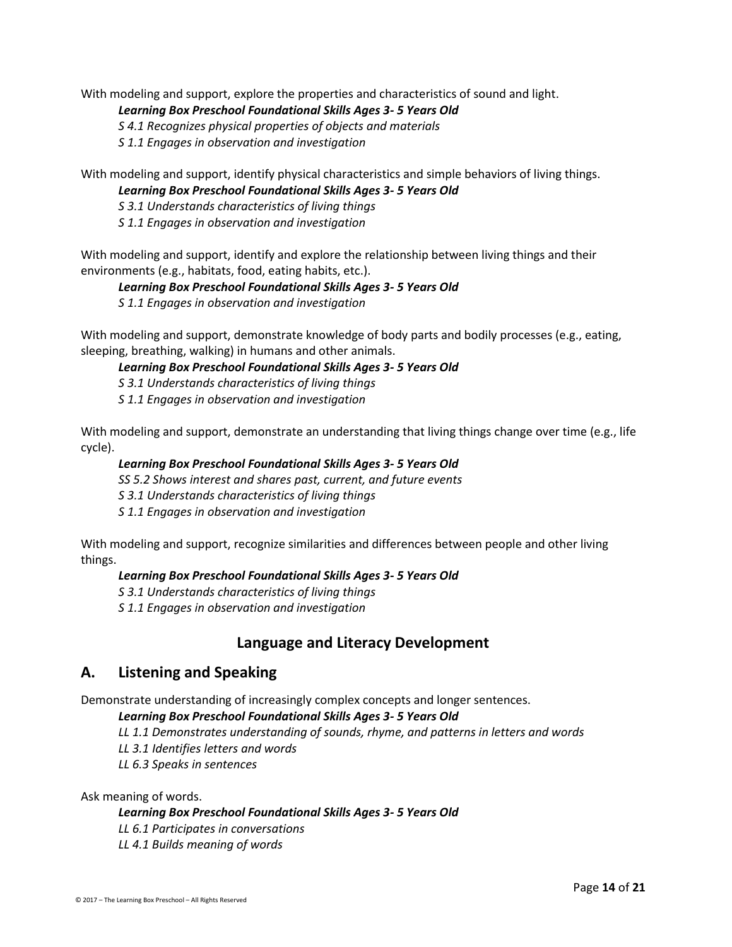With modeling and support, explore the properties and characteristics of sound and light.

#### *Learning Box Preschool Foundational Skills Ages 3- 5 Years Old*

*S 4.1 Recognizes physical properties of objects and materials*

*S 1.1 Engages in observation and investigation*

With modeling and support, identify physical characteristics and simple behaviors of living things. *Learning Box Preschool Foundational Skills Ages 3- 5 Years Old*

*S 3.1 Understands characteristics of living things*

*S 1.1 Engages in observation and investigation*

With modeling and support, identify and explore the relationship between living things and their environments (e.g., habitats, food, eating habits, etc.).

#### *Learning Box Preschool Foundational Skills Ages 3- 5 Years Old*

*S 1.1 Engages in observation and investigation*

With modeling and support, demonstrate knowledge of body parts and bodily processes (e.g., eating, sleeping, breathing, walking) in humans and other animals.

#### *Learning Box Preschool Foundational Skills Ages 3- 5 Years Old*

*S 3.1 Understands characteristics of living things*

*S 1.1 Engages in observation and investigation*

With modeling and support, demonstrate an understanding that living things change over time (e.g., life cycle).

#### *Learning Box Preschool Foundational Skills Ages 3- 5 Years Old*

*SS 5.2 Shows interest and shares past, current, and future events*

*S 3.1 Understands characteristics of living things*

*S 1.1 Engages in observation and investigation*

With modeling and support, recognize similarities and differences between people and other living things.

#### *Learning Box Preschool Foundational Skills Ages 3- 5 Years Old*

*S 3.1 Understands characteristics of living things*

*S 1.1 Engages in observation and investigation*

### **Language and Literacy Development**

### **A. Listening and Speaking**

Demonstrate understanding of increasingly complex concepts and longer sentences.

#### *Learning Box Preschool Foundational Skills Ages 3- 5 Years Old*

*LL 1.1 Demonstrates understanding of sounds, rhyme, and patterns in letters and words*

- *LL 3.1 Identifies letters and words*
- *LL 6.3 Speaks in sentences*

Ask meaning of words.

#### *Learning Box Preschool Foundational Skills Ages 3- 5 Years Old*

*LL 6.1 Participates in conversations*

*LL 4.1 Builds meaning of words*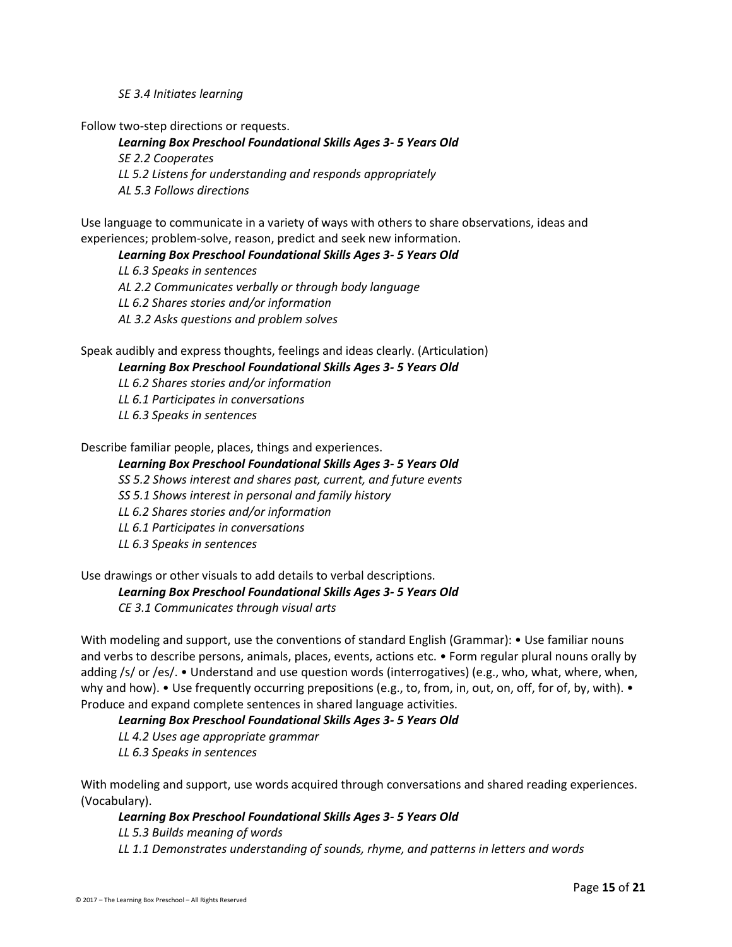*SE 3.4 Initiates learning*

Follow two-step directions or requests.

*Learning Box Preschool Foundational Skills Ages 3- 5 Years Old SE 2.2 Cooperates LL 5.2 Listens for understanding and responds appropriately AL 5.3 Follows directions*

Use language to communicate in a variety of ways with others to share observations, ideas and experiences; problem-solve, reason, predict and seek new information.

*Learning Box Preschool Foundational Skills Ages 3- 5 Years Old*

*LL 6.3 Speaks in sentences AL 2.2 Communicates verbally or through body language LL 6.2 Shares stories and/or information AL 3.2 Asks questions and problem solves*

Speak audibly and express thoughts, feelings and ideas clearly. (Articulation)

#### *Learning Box Preschool Foundational Skills Ages 3- 5 Years Old*

*LL 6.2 Shares stories and/or information*

*LL 6.1 Participates in conversations*

*LL 6.3 Speaks in sentences*

Describe familiar people, places, things and experiences.

#### *Learning Box Preschool Foundational Skills Ages 3- 5 Years Old*

*SS 5.2 Shows interest and shares past, current, and future events*

*SS 5.1 Shows interest in personal and family history*

*LL 6.2 Shares stories and/or information*

- *LL 6.1 Participates in conversations*
- *LL 6.3 Speaks in sentences*

Use drawings or other visuals to add details to verbal descriptions.

#### *Learning Box Preschool Foundational Skills Ages 3- 5 Years Old*

*CE 3.1 Communicates through visual arts*

With modeling and support, use the conventions of standard English (Grammar): • Use familiar nouns and verbs to describe persons, animals, places, events, actions etc. • Form regular plural nouns orally by adding /s/ or /es/. • Understand and use question words (interrogatives) (e.g., who, what, where, when, why and how). • Use frequently occurring prepositions (e.g., to, from, in, out, on, off, for of, by, with). • Produce and expand complete sentences in shared language activities.

#### *Learning Box Preschool Foundational Skills Ages 3- 5 Years Old*

*LL 4.2 Uses age appropriate grammar LL 6.3 Speaks in sentences*

With modeling and support, use words acquired through conversations and shared reading experiences. (Vocabulary).

#### *Learning Box Preschool Foundational Skills Ages 3- 5 Years Old*

*LL 5.3 Builds meaning of words*

*LL 1.1 Demonstrates understanding of sounds, rhyme, and patterns in letters and words*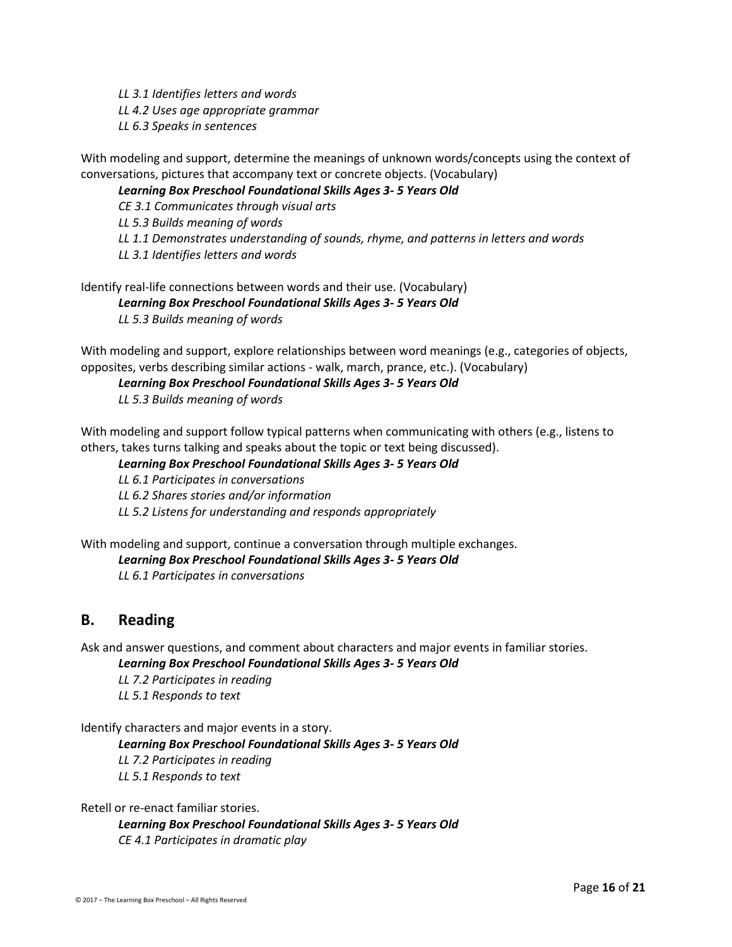*LL 3.1 Identifies letters and words LL 4.2 Uses age appropriate grammar LL 6.3 Speaks in sentences*

With modeling and support, determine the meanings of unknown words/concepts using the context of conversations, pictures that accompany text or concrete objects. (Vocabulary)

#### *Learning Box Preschool Foundational Skills Ages 3- 5 Years Old*

*CE 3.1 Communicates through visual arts*

*LL 5.3 Builds meaning of words*

*LL 1.1 Demonstrates understanding of sounds, rhyme, and patterns in letters and words*

*LL 3.1 Identifies letters and words*

Identify real-life connections between words and their use. (Vocabulary) *Learning Box Preschool Foundational Skills Ages 3- 5 Years Old LL 5.3 Builds meaning of words*

With modeling and support, explore relationships between word meanings (e.g., categories of objects, opposites, verbs describing similar actions - walk, march, prance, etc.). (Vocabulary)

*Learning Box Preschool Foundational Skills Ages 3- 5 Years Old*

*LL 5.3 Builds meaning of words*

With modeling and support follow typical patterns when communicating with others (e.g., listens to others, takes turns talking and speaks about the topic or text being discussed).

#### *Learning Box Preschool Foundational Skills Ages 3- 5 Years Old*

*LL 6.1 Participates in conversations LL 6.2 Shares stories and/or information*

*LL 5.2 Listens for understanding and responds appropriately*

With modeling and support, continue a conversation through multiple exchanges.

*Learning Box Preschool Foundational Skills Ages 3- 5 Years Old*

*LL 6.1 Participates in conversations*

### **B. Reading**

Ask and answer questions, and comment about characters and major events in familiar stories.

*Learning Box Preschool Foundational Skills Ages 3- 5 Years Old*

*LL 7.2 Participates in reading LL 5.1 Responds to text*

Identify characters and major events in a story.

*Learning Box Preschool Foundational Skills Ages 3- 5 Years Old*

*LL 7.2 Participates in reading LL 5.1 Responds to text*

Retell or re-enact familiar stories.

*Learning Box Preschool Foundational Skills Ages 3- 5 Years Old CE 4.1 Participates in dramatic play*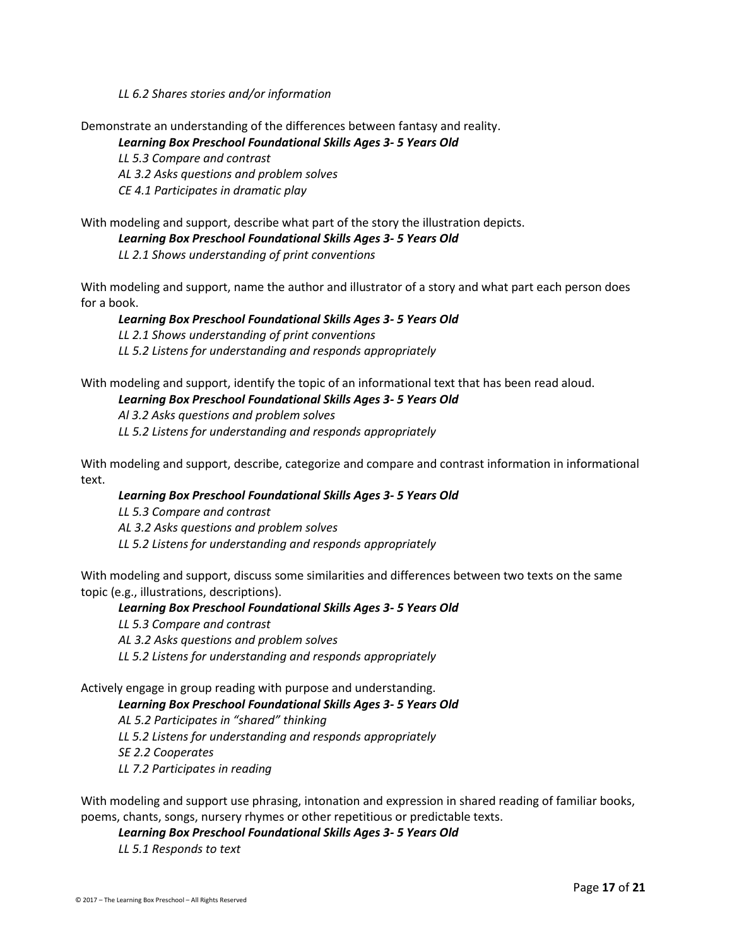#### *LL 6.2 Shares stories and/or information*

Demonstrate an understanding of the differences between fantasy and reality.

#### *Learning Box Preschool Foundational Skills Ages 3- 5 Years Old*

*LL 5.3 Compare and contrast AL 3.2 Asks questions and problem solves CE 4.1 Participates in dramatic play*

#### With modeling and support, describe what part of the story the illustration depicts.

#### *Learning Box Preschool Foundational Skills Ages 3- 5 Years Old*

*LL 2.1 Shows understanding of print conventions*

With modeling and support, name the author and illustrator of a story and what part each person does for a book.

#### *Learning Box Preschool Foundational Skills Ages 3- 5 Years Old LL 2.1 Shows understanding of print conventions*

*LL 5.2 Listens for understanding and responds appropriately*

With modeling and support, identify the topic of an informational text that has been read aloud.

#### *Learning Box Preschool Foundational Skills Ages 3- 5 Years Old*

*Al 3.2 Asks questions and problem solves LL 5.2 Listens for understanding and responds appropriately*

With modeling and support, describe, categorize and compare and contrast information in informational text.

#### *Learning Box Preschool Foundational Skills Ages 3- 5 Years Old*

*LL 5.3 Compare and contrast AL 3.2 Asks questions and problem solves LL 5.2 Listens for understanding and responds appropriately*

With modeling and support, discuss some similarities and differences between two texts on the same topic (e.g., illustrations, descriptions).

#### *Learning Box Preschool Foundational Skills Ages 3- 5 Years Old*

*LL 5.3 Compare and contrast AL 3.2 Asks questions and problem solves LL 5.2 Listens for understanding and responds appropriately*

Actively engage in group reading with purpose and understanding.

#### *Learning Box Preschool Foundational Skills Ages 3- 5 Years Old*

*AL 5.2 Participates in "shared" thinking LL 5.2 Listens for understanding and responds appropriately SE 2.2 Cooperates LL 7.2 Participates in reading*

With modeling and support use phrasing, intonation and expression in shared reading of familiar books, poems, chants, songs, nursery rhymes or other repetitious or predictable texts.

*Learning Box Preschool Foundational Skills Ages 3- 5 Years Old*

*LL 5.1 Responds to text*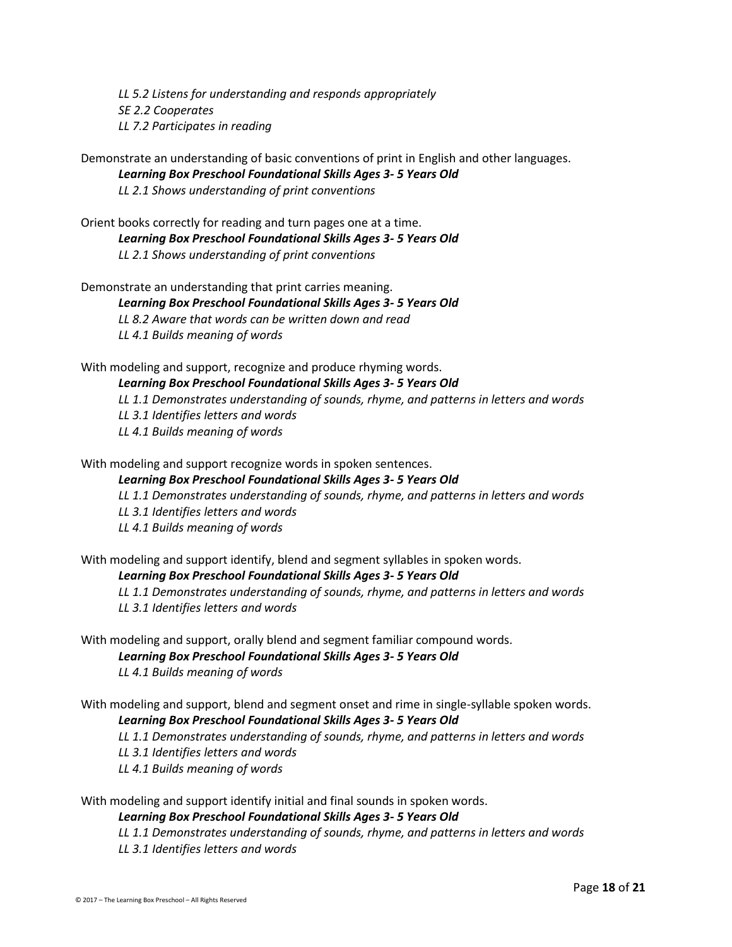*LL 5.2 Listens for understanding and responds appropriately SE 2.2 Cooperates LL 7.2 Participates in reading*

Demonstrate an understanding of basic conventions of print in English and other languages. *Learning Box Preschool Foundational Skills Ages 3- 5 Years Old*

*LL 2.1 Shows understanding of print conventions*

Orient books correctly for reading and turn pages one at a time. *Learning Box Preschool Foundational Skills Ages 3- 5 Years Old LL 2.1 Shows understanding of print conventions*

Demonstrate an understanding that print carries meaning. *Learning Box Preschool Foundational Skills Ages 3- 5 Years Old LL 8.2 Aware that words can be written down and read LL 4.1 Builds meaning of words*

With modeling and support, recognize and produce rhyming words. *Learning Box Preschool Foundational Skills Ages 3- 5 Years Old LL 1.1 Demonstrates understanding of sounds, rhyme, and patterns in letters and words LL 3.1 Identifies letters and words LL 4.1 Builds meaning of words*

With modeling and support recognize words in spoken sentences.

#### *Learning Box Preschool Foundational Skills Ages 3- 5 Years Old*

*LL 1.1 Demonstrates understanding of sounds, rhyme, and patterns in letters and words*

*LL 3.1 Identifies letters and words*

*LL 4.1 Builds meaning of words*

With modeling and support identify, blend and segment syllables in spoken words.

#### *Learning Box Preschool Foundational Skills Ages 3- 5 Years Old*

*LL 1.1 Demonstrates understanding of sounds, rhyme, and patterns in letters and words LL 3.1 Identifies letters and words*

With modeling and support, orally blend and segment familiar compound words. *Learning Box Preschool Foundational Skills Ages 3- 5 Years Old LL 4.1 Builds meaning of words*

With modeling and support, blend and segment onset and rime in single-syllable spoken words. *Learning Box Preschool Foundational Skills Ages 3- 5 Years Old*

*LL 1.1 Demonstrates understanding of sounds, rhyme, and patterns in letters and words*

*LL 3.1 Identifies letters and words*

*LL 4.1 Builds meaning of words*

With modeling and support identify initial and final sounds in spoken words.

#### *Learning Box Preschool Foundational Skills Ages 3- 5 Years Old*

*LL 1.1 Demonstrates understanding of sounds, rhyme, and patterns in letters and words LL 3.1 Identifies letters and words*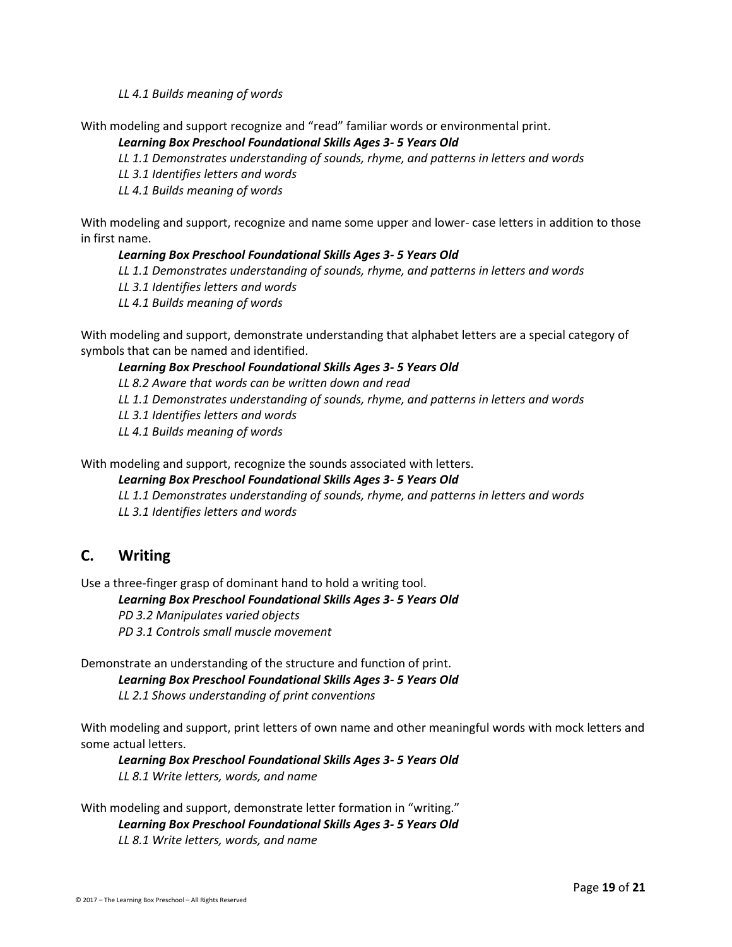*LL 4.1 Builds meaning of words*

With modeling and support recognize and "read" familiar words or environmental print.

#### *Learning Box Preschool Foundational Skills Ages 3- 5 Years Old*

*LL 1.1 Demonstrates understanding of sounds, rhyme, and patterns in letters and words*

*LL 3.1 Identifies letters and words*

*LL 4.1 Builds meaning of words*

With modeling and support, recognize and name some upper and lower- case letters in addition to those in first name.

#### *Learning Box Preschool Foundational Skills Ages 3- 5 Years Old*

*LL 1.1 Demonstrates understanding of sounds, rhyme, and patterns in letters and words*

- *LL 3.1 Identifies letters and words*
- *LL 4.1 Builds meaning of words*

With modeling and support, demonstrate understanding that alphabet letters are a special category of symbols that can be named and identified.

#### *Learning Box Preschool Foundational Skills Ages 3- 5 Years Old*

*LL 8.2 Aware that words can be written down and read*

*LL 1.1 Demonstrates understanding of sounds, rhyme, and patterns in letters and words*

*LL 3.1 Identifies letters and words*

*LL 4.1 Builds meaning of words*

With modeling and support, recognize the sounds associated with letters.

*Learning Box Preschool Foundational Skills Ages 3- 5 Years Old*

*LL 1.1 Demonstrates understanding of sounds, rhyme, and patterns in letters and words*

*LL 3.1 Identifies letters and words*

# **C. Writing**

Use a three-finger grasp of dominant hand to hold a writing tool.

#### *Learning Box Preschool Foundational Skills Ages 3- 5 Years Old*

*PD 3.2 Manipulates varied objects*

*PD 3.1 Controls small muscle movement*

Demonstrate an understanding of the structure and function of print.

*Learning Box Preschool Foundational Skills Ages 3- 5 Years Old*

*LL 2.1 Shows understanding of print conventions*

With modeling and support, print letters of own name and other meaningful words with mock letters and some actual letters.

*Learning Box Preschool Foundational Skills Ages 3- 5 Years Old LL 8.1 Write letters, words, and name*

With modeling and support, demonstrate letter formation in "writing." *Learning Box Preschool Foundational Skills Ages 3- 5 Years Old LL 8.1 Write letters, words, and name*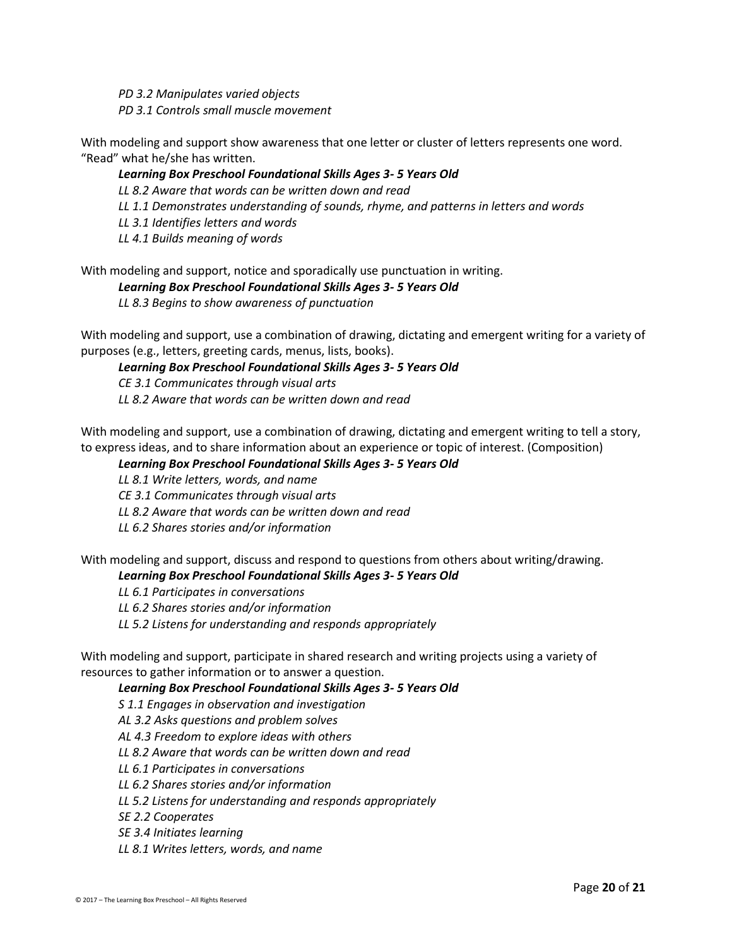*PD 3.2 Manipulates varied objects PD 3.1 Controls small muscle movement*

With modeling and support show awareness that one letter or cluster of letters represents one word. "Read" what he/she has written.

#### *Learning Box Preschool Foundational Skills Ages 3- 5 Years Old*

*LL 8.2 Aware that words can be written down and read*

*LL 1.1 Demonstrates understanding of sounds, rhyme, and patterns in letters and words*

*LL 3.1 Identifies letters and words*

*LL 4.1 Builds meaning of words*

With modeling and support, notice and sporadically use punctuation in writing.

#### *Learning Box Preschool Foundational Skills Ages 3- 5 Years Old*

*LL 8.3 Begins to show awareness of punctuation*

With modeling and support, use a combination of drawing, dictating and emergent writing for a variety of purposes (e.g., letters, greeting cards, menus, lists, books).

#### *Learning Box Preschool Foundational Skills Ages 3- 5 Years Old*

*CE 3.1 Communicates through visual arts*

*LL 8.2 Aware that words can be written down and read*

With modeling and support, use a combination of drawing, dictating and emergent writing to tell a story, to express ideas, and to share information about an experience or topic of interest. (Composition)

#### *Learning Box Preschool Foundational Skills Ages 3- 5 Years Old*

*LL 8.1 Write letters, words, and name*

*CE 3.1 Communicates through visual arts*

*LL 8.2 Aware that words can be written down and read*

*LL 6.2 Shares stories and/or information*

With modeling and support, discuss and respond to questions from others about writing/drawing.

#### *Learning Box Preschool Foundational Skills Ages 3- 5 Years Old*

*LL 6.1 Participates in conversations*

*LL 6.2 Shares stories and/or information*

*LL 5.2 Listens for understanding and responds appropriately*

With modeling and support, participate in shared research and writing projects using a variety of resources to gather information or to answer a question.

*Learning Box Preschool Foundational Skills Ages 3- 5 Years Old*

*S 1.1 Engages in observation and investigation*

*AL 3.2 Asks questions and problem solves*

*AL 4.3 Freedom to explore ideas with others*

*LL 8.2 Aware that words can be written down and read*

*LL 6.1 Participates in conversations*

*LL 6.2 Shares stories and/or information*

*LL 5.2 Listens for understanding and responds appropriately*

*SE 2.2 Cooperates*

*SE 3.4 Initiates learning*

*LL 8.1 Writes letters, words, and name*